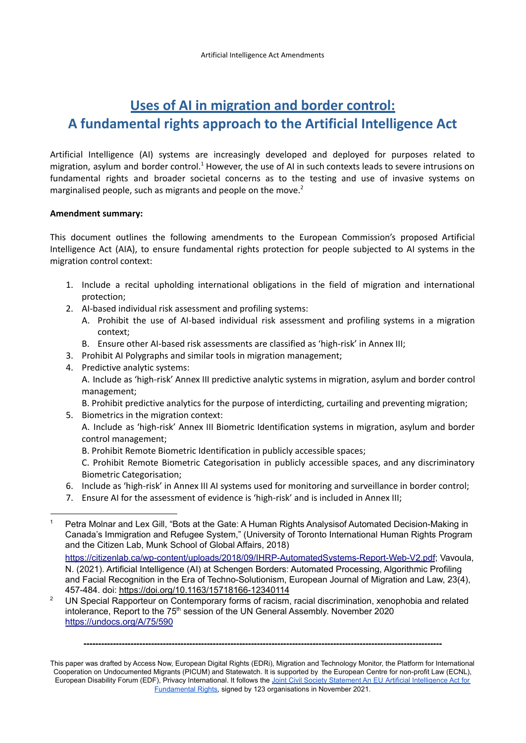# **Uses of AI in migration and border control: A fundamental rights approach to the Artificial Intelligence Act**

Artificial Intelligence (AI) systems are increasingly developed and deployed for purposes related to migration, asylum and border control.<sup>1</sup> However, the use of AI in such contexts leads to severe intrusions on fundamental rights and broader societal concerns as to the testing and use of invasive systems on marginalised people, such as migrants and people on the move.<sup>2</sup>

#### **Amendment summary:**

This document outlines the following amendments to the European Commission's proposed Artificial Intelligence Act (AIA), to ensure fundamental rights protection for people subjected to AI systems in the migration control context:

- 1. Include a recital upholding international obligations in the field of migration and international protection;
- 2. AI-based individual risk assessment and profiling systems:
	- A. Prohibit the use of AI-based individual risk assessment and profiling systems in a migration context;
	- B. Ensure other AI-based risk assessments are classified as 'high-risk' in Annex III;
- 3. Prohibit AI Polygraphs and similar tools in migration management;
- 4. Predictive analytic systems:

A. Include as 'high-risk' Annex III predictive analytic systems in migration, asylum and border control management;

B. Prohibit predictive analytics for the purpose of interdicting, curtailing and preventing migration;

5. Biometrics in the migration context: A. Include as 'high-risk' Annex III Biometric Identification systems in migration, asylum and border control management;

B. Prohibit Remote Biometric Identification in publicly accessible spaces;

C. Prohibit Remote Biometric Categorisation in publicly accessible spaces, and any discriminatory Biometric Categorisation;

- 6. Include as 'high-risk' in Annex III AI systems used for monitoring and surveillance in border control;
- 7. Ensure AI for the assessment of evidence is 'high-risk' and is included in Annex III;

<sup>2</sup> UN Special Rapporteur on Contemporary forms of racism, racial discrimination, xenophobia and related intolerance, Report to the 75<sup>th</sup> session of the UN General Assembly. November 2020 <https://undocs.org/A/75/590>

This paper was drafted by Access Now, European Digital Rights (EDRi), Migration and Technology Monitor, the Platform for International Cooperation on Undocumented Migrants (PICUM) and Statewatch. It is supported by the European Centre for non-profit Law (ECNL), European Disability Forum (EDF), Privacy International. It follows the Joint Civil Society Statement An EU Artificial [Intelligence](https://www.accessnow.org/cms/assets/uploads/2021/11/joint-statement-EU-AIA.pdf) Act for [Fundamental](https://www.accessnow.org/cms/assets/uploads/2021/11/joint-statement-EU-AIA.pdf) Rights, signed by 123 organisations in November 2021.

Petra Molnar and Lex Gill, "Bots at the Gate: A Human Rights Analysisof Automated Decision-Making in Canada's Immigration and Refugee System," (University of Toronto International Human Rights Program and the Citizen Lab, Munk School of Global Affairs, 2018)

<https://citizenlab.ca/wp-content/uploads/2018/09/IHRP-AutomatedSystems-Report-Web-V2.pdf>; Vavoula, N. (2021). Artificial Intelligence (AI) at Schengen Borders: Automated Processing, Algorithmic Profiling and Facial Recognition in the Era of Techno-Solutionism, European Journal of Migration and Law, 23(4), 457-484. doi: <https://doi.org/10.1163/15718166-12340114>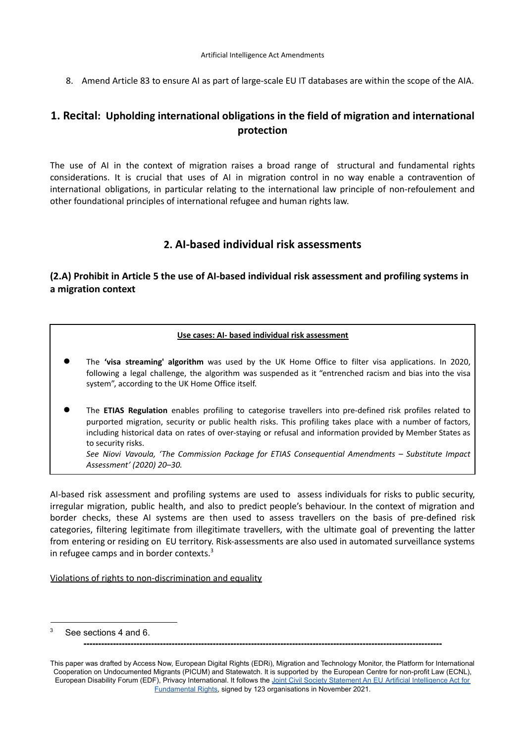8. Amend Article 83 to ensure AI as part of large-scale EU IT databases are within the scope of the AIA.

# **1. Recital: Upholding international obligations in the field of migration and international protection**

The use of AI in the context of migration raises a broad range of structural and fundamental rights considerations. It is crucial that uses of AI in migration control in no way enable a contravention of international obligations, in particular relating to the international law principle of non-refoulement and other foundational principles of international refugee and human rights law.

# **2. AI-based individual risk assessments**

# **(2.A) Prohibit in Article 5 the use of AI-based individual risk assessment and profiling systems in a migration context**

#### **Use cases: AI- based individual risk assessment**

- The **'visa streaming' algorithm** was used by the UK Home Office to filter visa applications. In 2020, following a legal challenge, the algorithm was suspended as it "entrenched racism and bias into the visa system", according to the UK Home Office itself.
- The **ETIAS Regulation** enables profiling to categorise travellers into pre-defined risk profiles related to purported migration, security or public health risks. This profiling takes place with a number of factors, including historical data on rates of over-staying or refusal and information provided by Member States as to security risks.

*See Niovi Vavoula, 'The Commission Package for ETIAS Consequential Amendments – Substitute Impact Assessment' (2020) 20–30.*

AI-based risk assessment and profiling systems are used to assess individuals for risks to public security, irregular migration, public health, and also to predict people's behaviour. In the context of migration and border checks, these AI systems are then used to assess travellers on the basis of pre-defined risk categories, filtering legitimate from illegitimate travellers, with the ultimate goal of preventing the latter from entering or residing on EU territory. Risk-assessments are also used in automated surveillance systems in refugee camps and in border contexts. $3$ 

Violations of rights to non-discrimination and equality

See sections 4 and 6.

**<sup>--------------------------------------------------------------------------------------------------------------------------</sup>**

This paper was drafted by Access Now, European Digital Rights (EDRi), Migration and Technology Monitor, the Platform for International Cooperation on Undocumented Migrants (PICUM) and Statewatch. It is supported by the European Centre for non-profit Law (ECNL), European Disability Forum (EDF), Privacy International. It follows the Joint Civil Society Statement An EU Artificial [Intelligence](https://www.accessnow.org/cms/assets/uploads/2021/11/joint-statement-EU-AIA.pdf) Act for [Fundamental](https://www.accessnow.org/cms/assets/uploads/2021/11/joint-statement-EU-AIA.pdf) Rights, signed by 123 organisations in November 2021.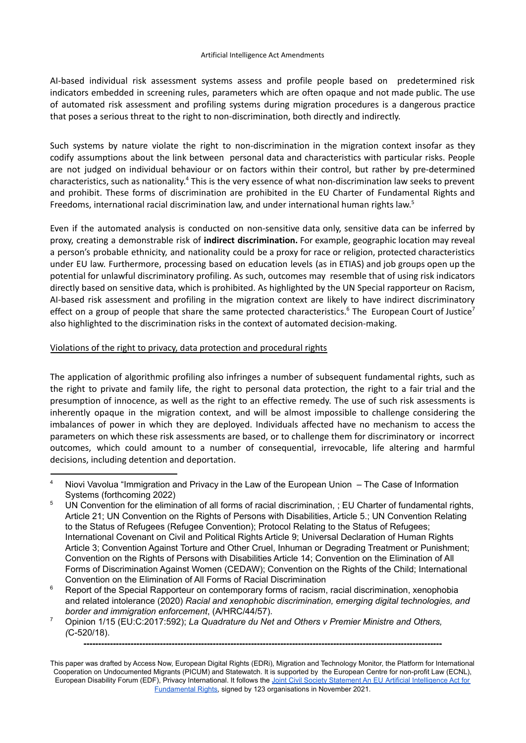AI-based individual risk assessment systems assess and profile people based on predetermined risk indicators embedded in screening rules, parameters which are often opaque and not made public. The use of automated risk assessment and profiling systems during migration procedures is a dangerous practice that poses a serious threat to the right to non-discrimination, both directly and indirectly.

Such systems by nature violate the right to non-discrimination in the migration context insofar as they codify assumptions about the link between personal data and characteristics with particular risks. People are not judged on individual behaviour or on factors within their control, but rather by pre-determined characteristics, such as nationality.<sup>4</sup> This is the very essence of what non-discrimination law seeks to prevent and prohibit. These forms of discrimination are prohibited in the EU Charter of Fundamental Rights and Freedoms, international racial discrimination law, and under international human rights law.<sup>5</sup>

Even if the automated analysis is conducted on non-sensitive data only, sensitive data can be inferred by proxy, creating a demonstrable risk of **indirect discrimination.** For example, geographic location may reveal a person's probable ethnicity, and nationality could be a proxy for race or religion, protected characteristics under EU law. Furthermore, processing based on education levels (as in ETIAS) and job groups open up the potential for unlawful discriminatory profiling. As such, outcomes may resemble that of using risk indicators directly based on sensitive data, which is prohibited. As highlighted by the UN Special rapporteur on Racism, AI-based risk assessment and profiling in the migration context are likely to have indirect discriminatory effect on a group of people that share the same protected characteristics.<sup>6</sup> The European Court of Justice<sup>7</sup> also highlighted to the discrimination risks in the context of automated decision-making.

#### Violations of the right to privacy, data protection and procedural rights

The application of algorithmic profiling also infringes a number of subsequent fundamental rights, such as the right to private and family life, the right to personal data protection, the right to a fair trial and the presumption of innocence, as well as the right to an effective remedy. The use of such risk assessments is inherently opaque in the migration context, and will be almost impossible to challenge considering the imbalances of power in which they are deployed. Individuals affected have no mechanism to access the parameters on which these risk assessments are based, or to challenge them for discriminatory or incorrect outcomes, which could amount to a number of consequential, irrevocable, life altering and harmful decisions, including detention and deportation.

<sup>4</sup> Niovi Vavolua "Immigration and Privacy in the Law of the European Union – The Case of Information Systems (forthcoming 2022)

UN Convention for the elimination of all forms of racial discrimination, ; EU Charter of fundamental rights, Article 21; UN Convention on the Rights of Persons with Disabilities, Article 5.; UN Convention Relating to the Status of Refugees (Refugee Convention); Protocol Relating to the Status of Refugees; International Covenant on Civil and Political Rights Article 9; Universal Declaration of Human Rights Article 3; Convention Against Torture and Other Cruel, Inhuman or Degrading Treatment or Punishment; Convention on the Rights of Persons with Disabilities Article 14; Convention on the Elimination of All Forms of Discrimination Against Women (CEDAW); Convention on the Rights of the Child; International Convention on the Elimination of All Forms of Racial Discrimination

Report of the Special Rapporteur on contemporary forms of racism, racial discrimination, xenophobia and related intolerance (2020) *Racial and xenophobic discrimination, emerging digital technologies, and border and immigration enforcement*, (A/HRC/44/57).

<sup>7</sup> Opinion 1/15 (EU:C:2017:592); *La Quadrature du Net and Others v Premier Ministre and Others, (*C-520/18).

This paper was drafted by Access Now, European Digital Rights (EDRi), Migration and Technology Monitor, the Platform for International Cooperation on Undocumented Migrants (PICUM) and Statewatch. It is supported by the European Centre for non-profit Law (ECNL), European Disability Forum (EDF), Privacy International. It follows the Joint Civil Society Statement An EU Artificial [Intelligence](https://www.accessnow.org/cms/assets/uploads/2021/11/joint-statement-EU-AIA.pdf) Act for [Fundamental](https://www.accessnow.org/cms/assets/uploads/2021/11/joint-statement-EU-AIA.pdf) Rights, signed by 123 organisations in November 2021.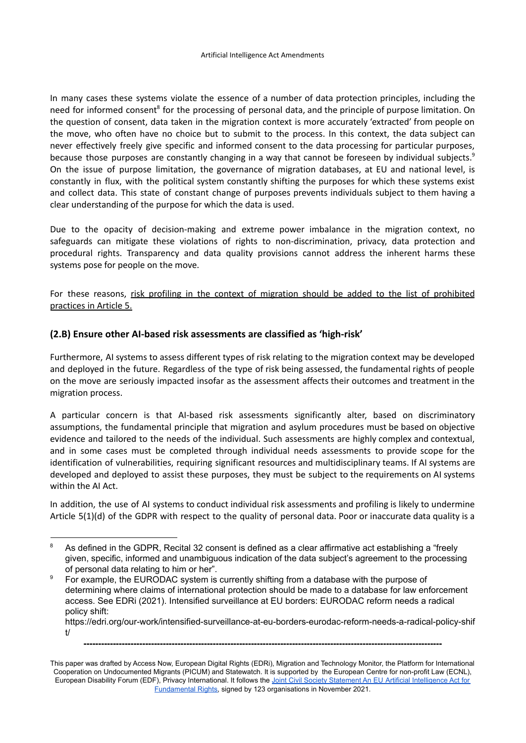In many cases these systems violate the essence of a number of data protection principles, including the need for informed consent<sup>8</sup> for the processing of personal data, and the principle of purpose limitation. On the question of consent, data taken in the migration context is more accurately 'extracted' from people on the move, who often have no choice but to submit to the process. In this context, the data subject can never effectively freely give specific and informed consent to the data processing for particular purposes, because those purposes are constantly changing in a way that cannot be foreseen by individual subjects.<sup>9</sup> On the issue of purpose limitation, the governance of migration databases, at EU and national level, is constantly in flux, with the political system constantly shifting the purposes for which these systems exist and collect data. This state of constant change of purposes prevents individuals subject to them having a clear understanding of the purpose for which the data is used.

Due to the opacity of decision-making and extreme power imbalance in the migration context, no safeguards can mitigate these violations of rights to non-discrimination, privacy, data protection and procedural rights. Transparency and data quality provisions cannot address the inherent harms these systems pose for people on the move.

For these reasons, risk profiling in the context of migration should be added to the list of prohibited practices in Article 5.

### **(2.B) Ensure other AI-based risk assessments are classified as 'high-risk'**

Furthermore, AI systems to assess different types of risk relating to the migration context may be developed and deployed in the future. Regardless of the type of risk being assessed, the fundamental rights of people on the move are seriously impacted insofar as the assessment affects their outcomes and treatment in the migration process.

A particular concern is that AI-based risk assessments significantly alter, based on discriminatory assumptions, the fundamental principle that migration and asylum procedures must be based on objective evidence and tailored to the needs of the individual. Such assessments are highly complex and contextual, and in some cases must be completed through individual needs assessments to provide scope for the identification of vulnerabilities, requiring significant resources and multidisciplinary teams. If AI systems are developed and deployed to assist these purposes, they must be subject to the requirements on AI systems within the AI Act.

In addition, the use of AI systems to conduct individual risk assessments and profiling is likely to undermine Article 5(1)(d) of the GDPR with respect to the quality of personal data. Poor or inaccurate data quality is a

https://edri.org/our-work/intensified-surveillance-at-eu-borders-eurodac-reform-needs-a-radical-policy-shif t/

<sup>&</sup>lt;sup>8</sup> As defined in the GDPR, Recital 32 consent is defined as a clear affirmative act establishing a "freely" given, specific, informed and unambiguous indication of the data subject's agreement to the processing of personal data relating to him or her".

<sup>9</sup> For example, the EURODAC system is currently shifting from a database with the purpose of determining where claims of international protection should be made to a database for law enforcement access. See EDRi (2021). Intensified surveillance at EU borders: EURODAC reform needs a radical policy shift:

This paper was drafted by Access Now, European Digital Rights (EDRi), Migration and Technology Monitor, the Platform for International Cooperation on Undocumented Migrants (PICUM) and Statewatch. It is supported by the European Centre for non-profit Law (ECNL), European Disability Forum (EDF), Privacy International. It follows the Joint Civil Society Statement An EU Artificial [Intelligence](https://www.accessnow.org/cms/assets/uploads/2021/11/joint-statement-EU-AIA.pdf) Act for [Fundamental](https://www.accessnow.org/cms/assets/uploads/2021/11/joint-statement-EU-AIA.pdf) Rights, signed by 123 organisations in November 2021.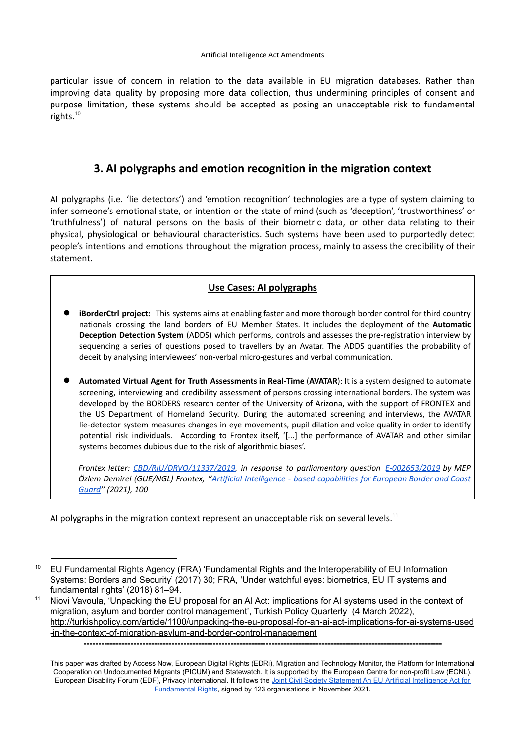particular issue of concern in relation to the data available in EU migration databases. Rather than improving data quality by proposing more data collection, thus undermining principles of consent and purpose limitation, these systems should be accepted as posing an unacceptable risk to fundamental rights. 10

# **3. AI polygraphs and emotion recognition in the migration context**

AI polygraphs (i.e. 'lie detectors') and 'emotion recognition' technologies are a type of system claiming to infer someone's emotional state, or intention or the state of mind (such as 'deception', 'trustworthiness' or 'truthfulness') of natural persons on the basis of their biometric data, or other data relating to their physical, physiological or behavioural characteristics. Such systems have been used to purportedly detect people's intentions and emotions throughout the migration process, mainly to assess the credibility of their statement.

### **Use Cases: AI polygraphs**

- **iBorderCtrl project:** This systems aims at enabling faster and more thorough border control for third country nationals crossing the land borders of EU Member States. It includes the deployment of the **Automatic Deception Detection System** (ADDS) which performs, controls and assesses the pre-registration interview by sequencing a series of questions posed to travellers by an Avatar. The ADDS quantifies the probability of deceit by analysing interviewees' non-verbal micro-gestures and verbal communication.
- **Automated Virtual Agent for Truth Assessments in Real-Time** (**AVATAR**): It is a system designed to automate screening, interviewing and credibility assessment of persons crossing international borders. The system was developed by the BORDERS research center of the University of Arizona, with the support of FRONTEX and the US Department of Homeland Security. During the automated screening and interviews, the AVATAR lie-detector system measures changes in eye movements, pupil dilation and voice quality in order to identify potential risk individuals. According to Frontex itself, '[...] the performance of AVATAR and other similar systems becomes dubious due to the risk of algorithmic biases'.

*Frontex letter: CBD/RIU/DRVO/11337/2019, in response to parliamentary question E-002653/2019 by MEP Özlem Demirel (GUE/NGL) Frontex, ''Artificial Intelligence - based capabilities for European Border and Coast Guard'' (2021), 100*

AI polygraphs in the migration context represent an unacceptable risk on several levels.<sup>11</sup>

<sup>&</sup>lt;sup>10</sup> EU Fundamental Rights Agency (FRA) 'Fundamental Rights and the Interoperability of EU Information Systems: Borders and Security' (2017) 30; FRA, 'Under watchful eyes: biometrics, EU IT systems and fundamental rights' (2018) 81–94.

<sup>11</sup> Niovi Vavoula, 'Unpacking the EU proposal for an AI Act: implications for AI systems used in the context of migration, asylum and border control management', Turkish Policy Quarterly (4 March 2022), [http://turkishpolicy.com/article/1100/unpacking-the-eu-proposal-for-an-ai-act-implications-for-ai-systems-used](http://turkishpolicy.com/article/1100/unpacking-the-eu-proposal-for-an-ai-act-implications-for-ai-systems-used-in-the-context-of-migration-asylum-and-border-control-management) [-in-the-context-of-migration-asylum-and-border-control-management](http://turkishpolicy.com/article/1100/unpacking-the-eu-proposal-for-an-ai-act-implications-for-ai-systems-used-in-the-context-of-migration-asylum-and-border-control-management)

**<sup>--------------------------------------------------------------------------------------------------------------------------</sup>**

This paper was drafted by Access Now, European Digital Rights (EDRi), Migration and Technology Monitor, the Platform for International Cooperation on Undocumented Migrants (PICUM) and Statewatch. It is supported by the European Centre for non-profit Law (ECNL), European Disability Forum (EDF), Privacy International. It follows the Joint Civil Society Statement An EU Artificial [Intelligence](https://www.accessnow.org/cms/assets/uploads/2021/11/joint-statement-EU-AIA.pdf) Act for [Fundamental](https://www.accessnow.org/cms/assets/uploads/2021/11/joint-statement-EU-AIA.pdf) Rights, signed by 123 organisations in November 2021.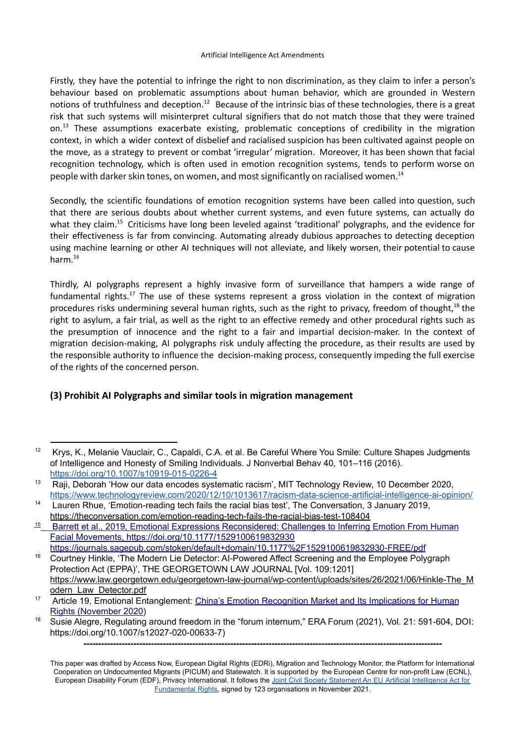Firstly, they have the potential to infringe the right to non discrimination, as they claim to infer a person's behaviour based on problematic assumptions about human behavior, which are grounded in Western notions of truthfulness and deception.<sup>12</sup> Because of the intrinsic bias of these technologies, there is a great risk that such systems will misinterpret cultural signifiers that do not match those that they were trained on.<sup>13</sup> These assumptions exacerbate existing, problematic conceptions of credibility in the migration context, in which a wider context of disbelief and racialised suspicion has been cultivated against people on the move, as a strategy to prevent or combat 'irregular' migration. Moreover, it has been shown that facial recognition technology, which is often used in emotion recognition systems, tends to perform worse on people with darker skin tones, on women, and most significantly on racialised women. 14

Secondly, the scientific foundations of emotion recognition systems have been called into question, such that there are serious doubts about whether current systems, and even future systems, can actually do what they claim.<sup>15</sup> Criticisms have long been leveled against 'traditional' polygraphs, and the evidence for their effectiveness is far from convincing. Automating already dubious approaches to detecting deception using machine learning or other AI techniques will not alleviate, and likely worsen, their potential to cause harm. 16

Thirdly, AI polygraphs represent a highly invasive form of surveillance that hampers a wide range of fundamental rights.<sup>17</sup> The use of these systems represent a gross violation in the context of migration procedures risks undermining several human rights, such as the right to privacy, freedom of thought,<sup>18</sup> the right to asylum, a fair trial, as well as the right to an effective remedy and other procedural rights such as the presumption of innocence and the right to a fair and impartial decision-maker. In the context of migration decision-making, AI polygraphs risk unduly affecting the procedure, as their results are used by the responsible authority to influence the decision-making process, consequently impeding the full exercise of the rights of the concerned person.

### **(3) Prohibit AI Polygraphs and similar tools in migration management**

<sup>&</sup>lt;sup>12</sup> Krys, K., Melanie Vauclair, C., Capaldi, C.A. et al. Be Careful Where You Smile: Culture Shapes Judgments of Intelligence and Honesty of Smiling Individuals. J Nonverbal Behav 40, 101–116 (2016). <https://doi.org/10.1007/s10919-015-0226-4>

<sup>&</sup>lt;sup>13</sup> Raji, Deborah 'How our data encodes systematic racism', MIT Technology Review, 10 December 2020, <https://www.technologyreview.com/2020/12/10/1013617/racism-data-science-artificial-intelligence-ai-opinion/>

<sup>&</sup>lt;sup>14</sup> Lauren Rhue, 'Emotion-reading tech fails the racial bias test', The Conversation, 3 January 2019, <https://theconversation.com/emotion-reading-tech-fails-the-racial-bias-test-108404>

<sup>15</sup> Barrett et al., 2019, Emotional Expressions Reconsidered: Challenges to Inferring Emotion From Human Facial Movements, <https://doi.org/10.1177/1529100619832930>

<sup>&</sup>lt;sup>16</sup> Courtney Hinkle, 'The Modern Lie Detector: AI-Powered Affect Screening and the Employee Polygraph Protection Act (EPPA)', THE GEORGETOWN LAW JOURNAL [Vol. 109:1201] [https://www.law.georgetown.edu/georgetown-law-journal/wp-content/uploads/sites/26/2021/06/Hinkle-The\\_M](https://www.law.georgetown.edu/georgetown-law-journal/wp-content/uploads/sites/26/2021/06/Hinkle-The_Modern_Law_Detector.pdf) [odern\\_Law\\_Detector.pdf](https://www.law.georgetown.edu/georgetown-law-journal/wp-content/uploads/sites/26/2021/06/Hinkle-The_Modern_Law_Detector.pdf) <https://journals.sagepub.com/stoken/default+domain/10.1177%2F1529100619832930-FREE/pdf>

<sup>&</sup>lt;sup>17</sup> Article 19, Emotional Entanglement: China's Emotion [Recognition](https://www.article19.org/wp-content/uploads/2021/01/ER-Tech-China-Report.pdf) Market and Its Implications for Human Rights [\(November](https://www.article19.org/wp-content/uploads/2021/01/ER-Tech-China-Report.pdf) 2020)

<sup>&</sup>lt;sup>18</sup> Susie Alegre, Regulating around freedom in the "forum internum," ERA Forum (2021), Vol. 21: 591-604, DOI: https://doi.org/10.1007/s12027-020-00633-7)

This paper was drafted by Access Now, European Digital Rights (EDRi), Migration and Technology Monitor, the Platform for International Cooperation on Undocumented Migrants (PICUM) and Statewatch. It is supported by the European Centre for non-profit Law (ECNL), European Disability Forum (EDF), Privacy International. It follows the Joint Civil Society Statement An EU Artificial [Intelligence](https://www.accessnow.org/cms/assets/uploads/2021/11/joint-statement-EU-AIA.pdf) Act for [Fundamental](https://www.accessnow.org/cms/assets/uploads/2021/11/joint-statement-EU-AIA.pdf) Rights, signed by 123 organisations in November 2021.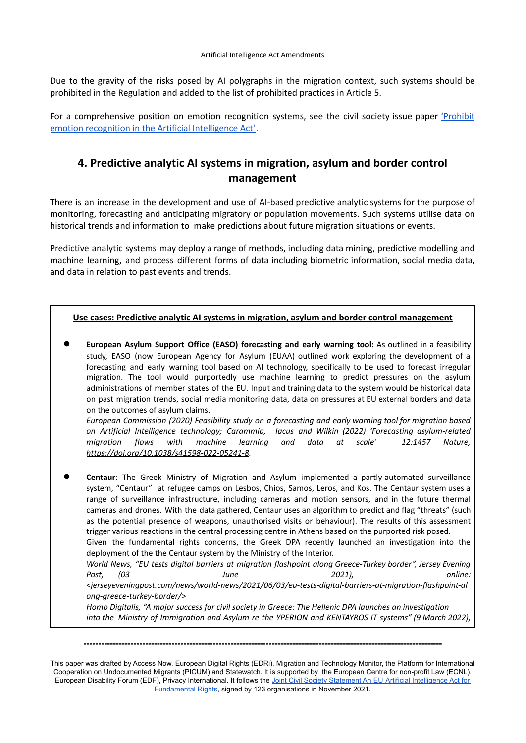Due to the gravity of the risks posed by AI polygraphs in the migration context, such systems should be prohibited in the Regulation and added to the list of prohibited practices in Article 5.

For a comprehensive position on emotion recognition systems, see the civil society issue paper ['Prohibit](https://www.accessnow.org/AIAct-emotion-recognition) emotion recognition in the Artificial [Intelligence](https://www.accessnow.org/AIAct-emotion-recognition) Act'.

# **4. Predictive analytic AI systems in migration, asylum and border control management**

There is an increase in the development and use of AI-based predictive analytic systems for the purpose of monitoring, forecasting and anticipating migratory or population movements. Such systems utilise data on historical trends and information to make predictions about future migration situations or events.

Predictive analytic systems may deploy a range of methods, including data mining, predictive modelling and machine learning, and process different forms of data including biometric information, social media data, and data in relation to past events and trends.

#### **Use cases: Predictive analytic AI systems in migration, asylum and border control management**

● **European Asylum Support Office (EASO) forecasting and early warning tool:** As outlined in a feasibility study, EASO (now European Agency for Asylum (EUAA) outlined work exploring the development of a forecasting and early warning tool based on AI technology, specifically to be used to forecast irregular migration. The tool would purportedly use machine learning to predict pressures on the asylum administrations of member states of the EU. Input and training data to the system would be historical data on past migration trends, social media monitoring data, data on pressures at EU external borders and data on the outcomes of asylum claims.

*European Commission (2020) Feasibility study on a forecasting and early warning tool for migration based on Artificial Intelligence technology; Carammia, Iacus and Wilkin (2022) 'Forecasting asylum-related migration flows with machine learning and data at scale' 12:1457 Nature, https://doi.org/10.1038/s41598-022-05241-8.*

Centaur: The Greek Ministry of Migration and Asylum implemented a partly-automated surveillance system, "Centaur" at refugee camps on Lesbos, Chios, Samos, Leros, and Kos. The Centaur system uses a range of surveillance infrastructure, including cameras and motion sensors, and in the future thermal cameras and drones. With the data gathered, Centaur uses an algorithm to predict and flag "threats" (such as the potential presence of weapons, unauthorised visits or behaviour). The results of this assessment trigger various reactions in the central processing centre in Athens based on the purported risk posed. Given the fundamental rights concerns, the Greek DPA recently launched an investigation into the deployment of the the Centaur system by the Ministry of the Interior. *World News, "EU tests digital barriers at migration flashpoint along Greece-Turkey border", Jersey Evening Post, (03 June 2021), online: <jerseyeveningpost.com/news/world-news/2021/06/03/eu-tests-digital-barriers-at-migration-flashpoint-al ong-greece-turkey-border/> Homo Digitalis, "A major success for civil society in Greece: The Hellenic DPA launches an investigation*

*into the Ministry of Immigration and Asylum re the YPERION and KENTAYROS IT systems" (9 March 2022),*

This paper was drafted by Access Now, European Digital Rights (EDRi), Migration and Technology Monitor, the Platform for International Cooperation on Undocumented Migrants (PICUM) and Statewatch. It is supported by the European Centre for non-profit Law (ECNL), European Disability Forum (EDF), Privacy International. It follows the Joint Civil Society Statement An EU Artificial [Intelligence](https://www.accessnow.org/cms/assets/uploads/2021/11/joint-statement-EU-AIA.pdf) Act for [Fundamental](https://www.accessnow.org/cms/assets/uploads/2021/11/joint-statement-EU-AIA.pdf) Rights, signed by 123 organisations in November 2021.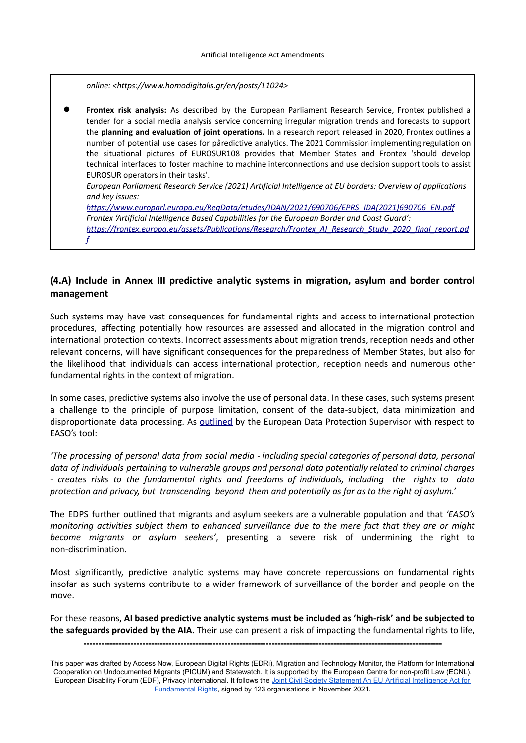*online: <https://www.homodigitalis.gr/en/posts/11024>*

● **Frontex risk analysis:** As described by the European Parliament Research Service, Frontex published a tender for a social media analysis service concerning irregular migration trends and forecasts to support the **planning and evaluation of joint operations.** In a research report released in 2020, Frontex outlines a number of potential use cases for påredictive analytics. The 2021 Commission implementing regulation on the situational pictures of EUROSUR108 provides that Member States and Frontex 'should develop technical interfaces to foster machine to machine interconnections and use decision support tools to assist EUROSUR operators in their tasks'. *European Parliament Research Service (2021) Artificial Intelligence at EU borders: Overview of applications and key issues: https://www.europarl.europa.eu/RegData/etudes/IDAN/2021/690706/EPRS\_IDA(2021)690706\_EN.pdf*

*Frontex 'Artificial Intelligence Based Capabilities for the European Border and Coast Guard': https://frontex.europa.eu/assets/Publications/Research/Frontex\_AI\_Research\_Study\_2020\_final\_report.pd f*

### **(4.A) Include in Annex III predictive analytic systems in migration, asylum and border control management**

Such systems may have vast consequences for fundamental rights and access to international protection procedures, affecting potentially how resources are assessed and allocated in the migration control and international protection contexts. Incorrect assessments about migration trends, reception needs and other relevant concerns, will have significant consequences for the preparedness of Member States, but also for the likelihood that individuals can access international protection, reception needs and numerous other fundamental rights in the context of migration.

In some cases, predictive systems also involve the use of personal data. In these cases, such systems present a challenge to the principle of purpose limitation, consent of the data-subject, data minimization and disproportionate data processing. As [outlined](https://edps.europa.eu/sites/default/files/publication/19-11-12_reply_easo_ssm_final_reply_en.pdf) by the European Data Protection Supervisor with respect to EASO's tool:

*'The processing of personal data from social media - including special categories of personal data, personal data of individuals pertaining to vulnerable groups and personal data potentially related to criminal charges - creates risks to the fundamental rights and freedoms of individuals, including the rights to data protection and privacy, but transcending beyond them and potentially as far as to the right of asylum.'*

The EDPS further outlined that migrants and asylum seekers are a vulnerable population and that *'EASO's monitoring activities subject them to enhanced surveillance due to the mere fact that they are or might become migrants or asylum seekers'*, presenting a severe risk of undermining the right to non-discrimination.

Most significantly, predictive analytic systems may have concrete repercussions on fundamental rights insofar as such systems contribute to a wider framework of surveillance of the border and people on the move.

For these reasons, **AI based predictive analytic systems must be included as 'high-risk' and be subjected to the safeguards provided by the AIA.** Their use can present a risk of impacting the fundamental rights to life,

This paper was drafted by Access Now, European Digital Rights (EDRi), Migration and Technology Monitor, the Platform for International Cooperation on Undocumented Migrants (PICUM) and Statewatch. It is supported by the European Centre for non-profit Law (ECNL), European Disability Forum (EDF), Privacy International. It follows the Joint Civil Society Statement An EU Artificial [Intelligence](https://www.accessnow.org/cms/assets/uploads/2021/11/joint-statement-EU-AIA.pdf) Act for [Fundamental](https://www.accessnow.org/cms/assets/uploads/2021/11/joint-statement-EU-AIA.pdf) Rights, signed by 123 organisations in November 2021.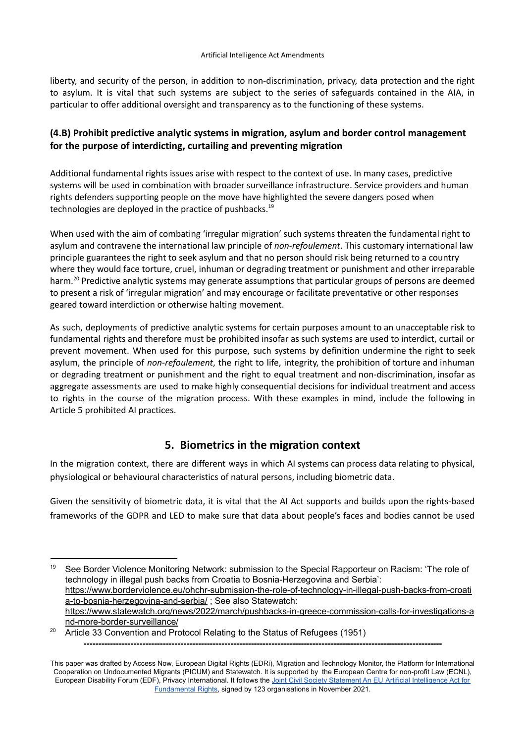liberty, and security of the person, in addition to non-discrimination, privacy, data protection and the right to asylum. It is vital that such systems are subject to the series of safeguards contained in the AIA, in particular to offer additional oversight and transparency as to the functioning of these systems.

# **(4.B) Prohibit predictive analytic systems in migration, asylum and border control management for the purpose of interdicting, curtailing and preventing migration**

Additional fundamental rights issues arise with respect to the context of use. In many cases, predictive systems will be used in combination with broader surveillance infrastructure. Service providers and human rights defenders supporting people on the move have highlighted the severe dangers posed when technologies are deployed in the practice of pushbacks.<sup>19</sup>

When used with the aim of combating 'irregular migration' such systems threaten the fundamental right to asylum and contravene the international law principle of *non-refoulement*. This customary international law principle guarantees the right to seek asylum and that no person should risk being returned to a country where they would face torture, cruel, inhuman or degrading treatment or punishment and other irreparable harm.<sup>20</sup> Predictive analytic systems may generate assumptions that particular groups of persons are deemed to present a risk of 'irregular migration' and may encourage or facilitate preventative or other responses geared toward interdiction or otherwise halting movement.

As such, deployments of predictive analytic systems for certain purposes amount to an unacceptable risk to fundamental rights and therefore must be prohibited insofar as such systems are used to interdict, curtail or prevent movement. When used for this purpose, such systems by definition undermine the right to seek asylum, the principle of *non-refoulement*, the right to life, integrity, the prohibition of torture and inhuman or degrading treatment or punishment and the right to equal treatment and non-discrimination, insofar as aggregate assessments are used to make highly consequential decisions for individual treatment and access to rights in the course of the migration process. With these examples in mind, include the following in Article 5 prohibited AI practices.

# **5. Biometrics in the migration context**

In the migration context, there are different ways in which AI systems can process data relating to physical, physiological or behavioural characteristics of natural persons, including biometric data.

Given the sensitivity of biometric data, it is vital that the AI Act supports and builds upon the rights-based frameworks of the GDPR and LED to make sure that data about people's faces and bodies cannot be used

<sup>&</sup>lt;sup>19</sup> See Border Violence Monitoring Network: submission to the Special Rapporteur on Racism: 'The role of technology in illegal push backs from Croatia to Bosnia-Herzegovina and Serbia': [https://www.borderviolence.eu/ohchr-submission-the-role-of-technology-in-illegal-push-backs-from-croati](https://www.borderviolence.eu/ohchr-submission-the-role-of-technology-in-illegal-push-backs-from-croatia-to-bosnia-herzegovina-and-serbia/) [a-to-bosnia-herzegovina-and-serbia/](https://www.borderviolence.eu/ohchr-submission-the-role-of-technology-in-illegal-push-backs-from-croatia-to-bosnia-herzegovina-and-serbia/) ; See also Statewatch: [https://www.statewatch.org/news/2022/march/pushbacks-in-greece-commission-calls-for-investigations-a](https://www.statewatch.org/news/2022/march/pushbacks-in-greece-commission-calls-for-investigations-and-more-border-surveillance/) [nd-more-border-surveillance/](https://www.statewatch.org/news/2022/march/pushbacks-in-greece-commission-calls-for-investigations-and-more-border-surveillance/)

<sup>&</sup>lt;sup>20</sup> Article 33 Convention and Protocol Relating to the Status of Refugees (1951) **--------------------------------------------------------------------------------------------------------------------------**

This paper was drafted by Access Now, European Digital Rights (EDRi), Migration and Technology Monitor, the Platform for International Cooperation on Undocumented Migrants (PICUM) and Statewatch. It is supported by the European Centre for non-profit Law (ECNL), European Disability Forum (EDF), Privacy International. It follows the Joint Civil Society Statement An EU Artificial [Intelligence](https://www.accessnow.org/cms/assets/uploads/2021/11/joint-statement-EU-AIA.pdf) Act for [Fundamental](https://www.accessnow.org/cms/assets/uploads/2021/11/joint-statement-EU-AIA.pdf) Rights, signed by 123 organisations in November 2021.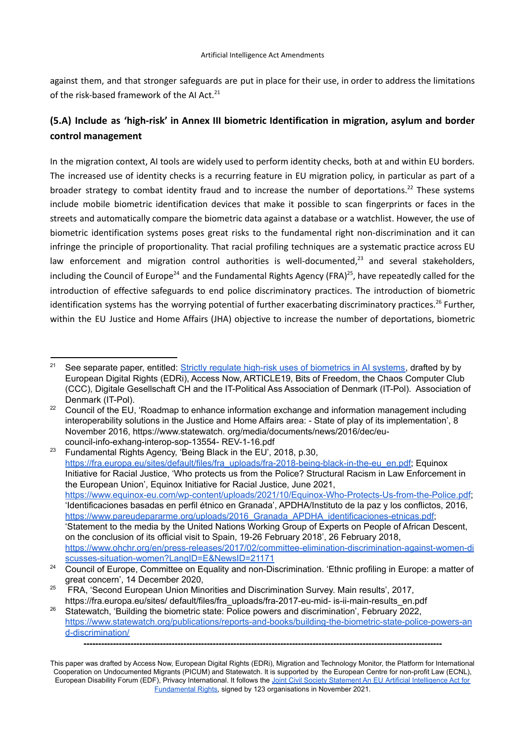against them, and that stronger safeguards are put in place for their use, in order to address the limitations of the risk-based framework of the AI Act.<sup>21</sup>

# **(5.A) Include as 'high-risk' in Annex III biometric Identification in migration, asylum and border control management**

In the migration context, AI tools are widely used to perform identity checks, both at and within EU borders. The increased use of identity checks is a recurring feature in EU migration policy, in particular as part of a broader strategy to combat identity fraud and to increase the number of deportations.<sup>22</sup> These systems include mobile biometric identification devices that make it possible to scan fingerprints or faces in the streets and automatically compare the biometric data against a database or a watchlist. However, the use of biometric identification systems poses great risks to the fundamental right non-discrimination and it can infringe the principle of proportionality. That racial profiling techniques are a systematic practice across EU law enforcement and migration control authorities is well-documented,<sup>23</sup> and several stakeholders, including the Council of Europe<sup>24</sup> and the Fundamental Rights Agency (FRA)<sup>25</sup>, have repeatedly called for the introduction of effective safeguards to end police discriminatory practices. The introduction of biometric identification systems has the worrying potential of further exacerbating discriminatory practices.<sup>26</sup> Further, within the EU Justice and Home Affairs (JHA) objective to increase the number of deportations, biometric

<sup>&</sup>lt;sup>21</sup> See separate paper, entitled: **Strictly regulate high-risk uses of [biometrics](https://edri.org/our-work/the-eus-artificial-intelligence-act-civil-society-amendments/) in AI systems**, drafted by by European Digital Rights (EDRi), Access Now, ARTICLE19, Bits of Freedom, the Chaos Computer Club (CCC), Digitale Gesellschaft CH and the IT-Political Ass Association of Denmark (IT-Pol). Association of Denmark (IT-Pol).

<sup>&</sup>lt;sup>22</sup> Council of the EU, 'Roadmap to enhance information exchange and information management including interoperability solutions in the Justice and Home Affairs area: - State of play of its implementation', 8 November 2016, https://www.statewatch. org/media/documents/news/2016/dec/eucouncil-info-exhang-interop-sop-13554- REV-1-16.pdf

<sup>&</sup>lt;sup>23</sup> Fundamental Rights Agency, 'Being Black in the EU', 2018, p.30, [https://fra.europa.eu/sites/default/files/fra\\_uploads/fra-2018-being-black-in-the-eu\\_en.pdf;](https://fra.europa.eu/sites/default/files/fra_uploads/fra-2018-being-black-in-the-eu_en.pdf) Equinox Initiative for Racial Justice, 'Who protects us from the Police? Structural Racism in Law Enforcement in the European Union', Equinox Initiative for Racial Justice, June 2021, <https://www.equinox-eu.com/wp-content/uploads/2021/10/Equinox-Who-Protects-Us-from-the-Police.pdf>; 'Identificaciones basadas en perfil étnico en Granada', APDHA/Instituto de la paz y los conflictos, 2016, https://www.pareudepararme.org/uploads/2016 Granada APDHA identificaciones-etnicas.pdf; 'Statement to the media by the United Nations Working Group of Experts on People of African Descent, on the conclusion of its official visit to Spain, 19-26 February 2018', 26 February 2018, [https://www.ohchr.org/en/press-releases/2017/02/committee-elimination-discrimination-against-women-di](https://www.ohchr.org/en/press-releases/2017/02/committee-elimination-discrimination-against-women-discusses-situation-women?LangID=E&NewsID=21171) [scusses-situation-women?LangID=E&NewsID=21171](https://www.ohchr.org/en/press-releases/2017/02/committee-elimination-discrimination-against-women-discusses-situation-women?LangID=E&NewsID=21171)

<sup>&</sup>lt;sup>24</sup> Council of Europe, Committee on Equality and non-Discrimination. 'Ethnic profiling in Europe: a matter of great concern', 14 December 2020,

<sup>&</sup>lt;sup>25</sup> FRA, 'Second European Union Minorities and Discrimination Survey. Main results', 2017, https://fra.europa.eu/sites/ default/files/fra\_uploads/fra-2017-eu-mid- is-ii-main-results\_en.pdf

<sup>&</sup>lt;sup>26</sup> Statewatch, 'Building the biometric state: Police powers and discrimination', February 2022, [https://www.statewatch.org/publications/reports-and-books/building-the-biometric-state-police-powers-an](https://www.statewatch.org/publications/reports-and-books/building-the-biometric-state-police-powers-and-discrimination/) [d-discrimination/](https://www.statewatch.org/publications/reports-and-books/building-the-biometric-state-police-powers-and-discrimination/) **--------------------------------------------------------------------------------------------------------------------------**

This paper was drafted by Access Now, European Digital Rights (EDRi), Migration and Technology Monitor, the Platform for International Cooperation on Undocumented Migrants (PICUM) and Statewatch. It is supported by the European Centre for non-profit Law (ECNL), European Disability Forum (EDF), Privacy International. It follows the Joint Civil Society Statement An EU Artificial [Intelligence](https://www.accessnow.org/cms/assets/uploads/2021/11/joint-statement-EU-AIA.pdf) Act for [Fundamental](https://www.accessnow.org/cms/assets/uploads/2021/11/joint-statement-EU-AIA.pdf) Rights, signed by 123 organisations in November 2021.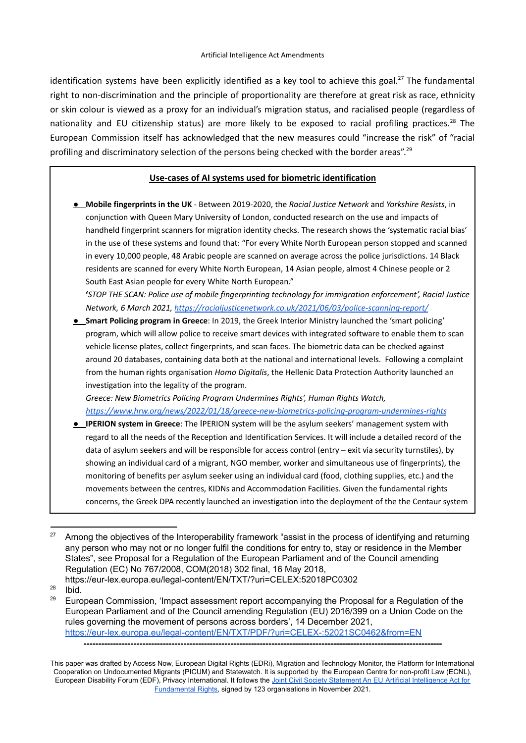identification systems have been explicitly identified as a key tool to achieve this goal.<sup>27</sup> The fundamental right to non-discrimination and the principle of proportionality are therefore at great risk as race, ethnicity or skin colour is viewed as a proxy for an individual's migration status, and racialised people (regardless of nationality and EU citizenship status) are more likely to be exposed to racial profiling practices.<sup>28</sup> The European Commission itself has acknowledged that the new measures could "increase the risk" of "racial profiling and discriminatory selection of the persons being checked with the border areas".<sup>29</sup>

#### **Use-cases of AI systems used for biometric identification**

**● Mobile fingerprints in the UK** - Between 2019-2020, the *Racial Justice Network* and *Yorkshire Resists*, in conjunction with Queen Mary University of London, conducted research on the use and impacts of handheld fingerprint scanners for migration identity checks. The research shows the 'systematic racial bias' in the use of these systems and found that: "For every White North European person stopped and scanned in every 10,000 people, 48 Arabic people are scanned on average across the police jurisdictions. 14 Black residents are scanned for every White North European, 14 Asian people, almost 4 Chinese people or 2 South East Asian people for every White North European."

**'***STOP THE SCAN: Police use of mobile fingerprinting technology for immigration enforcement', Racial Justice Network, 6 March 2021, <https://racialjusticenetwork.co.uk/2021/06/03/police-scanning-report/>*

**● Smart Policing program in Greece**: In 2019, the Greek Interior Ministry launched the 'smart policing' program, which will allow police to receive smart devices with integrated software to enable them to scan vehicle license plates, collect fingerprints, and scan faces. The biometric data can be checked against around 20 databases, containing data both at the national and international levels. Following a complaint from the human rights organisation *Homo Digitalis*, the Hellenic Data Protection Authority launched an investigation into the legality of the program.

*Greece: New Biometrics Policing Program Undermines Rights', Human Rights Watch, <https://www.hrw.org/news/2022/01/18/greece-new-biometrics-policing-program-undermines-rights>*

**● IPERION system in Greece**: The ΙPERION system will be the asylum seekers' management system with regard to all the needs of the Reception and Identification Services. It will include a detailed record of the data of asylum seekers and will be responsible for access control (entry – exit via security turnstiles), by showing an individual card of a migrant, NGO member, worker and simultaneous use of fingerprints), the monitoring of benefits per asylum seeker using an individual card (food, clothing supplies, etc.) and the movements between the centres, KIDNs and Accommodation Facilities. Given the fundamental rights concerns, the Greek DPA recently launched an investigation into the deployment of the the Centaur system

<sup>&</sup>lt;sup>27</sup> Among the objectives of the Interoperability framework "assist in the process of identifying and returning any person who may not or no longer fulfil the conditions for entry to, stay or residence in the Member States", see Proposal for a Regulation of the European Parliament and of the Council amending Regulation (EC) No 767/2008, COM(2018) 302 final, 16 May 2018, https://eur-lex.europa.eu/legal-content/EN/TXT/?uri=CELEX:52018PC0302

 $28$  Ibid.

 $29$  European Commission, 'Impact assessment report accompanying the Proposal for a Regulation of the European Parliament and of the Council amending Regulation (EU) 2016/399 on a Union Code on the rules governing the movement of persons across borders', 14 December 2021, <https://eur-lex.europa.eu/legal-content/EN/TXT/PDF/?uri=CELEX-:52021SC0462&from=EN>

This paper was drafted by Access Now, European Digital Rights (EDRi), Migration and Technology Monitor, the Platform for International Cooperation on Undocumented Migrants (PICUM) and Statewatch. It is supported by the European Centre for non-profit Law (ECNL), European Disability Forum (EDF), Privacy International. It follows the Joint Civil Society Statement An EU Artificial [Intelligence](https://www.accessnow.org/cms/assets/uploads/2021/11/joint-statement-EU-AIA.pdf) Act for [Fundamental](https://www.accessnow.org/cms/assets/uploads/2021/11/joint-statement-EU-AIA.pdf) Rights, signed by 123 organisations in November 2021.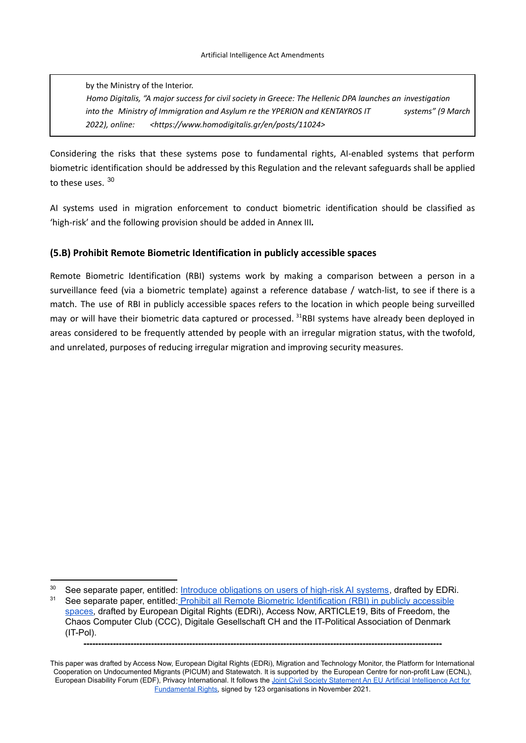by the Ministry of the Interior. *Homo Digitalis, "A major success for civil society in Greece: The Hellenic DPA launches an investigation into the Ministry of Immigration and Asylum re the YPERION and KENTAYROS IT systems" (9 March 2022), online: <[https://www.homodigitalis.gr/en/posts/11024>](https://www.homodigitalis.gr/en/posts/11024)*

Considering the risks that these systems pose to fundamental rights, AI-enabled systems that perform biometric identification should be addressed by this Regulation and the relevant safeguards shall be applied to these uses. <sup>30</sup>

AI systems used in migration enforcement to conduct biometric identification should be classified as 'high-risk' and the following provision should be added in Annex III*.*

#### **(5.B) Prohibit Remote Biometric Identification in publicly accessible spaces**

Remote Biometric Identification (RBI) systems work by making a comparison between a person in a surveillance feed (via a biometric template) against a reference database / watch-list, to see if there is a match. The use of RBI in publicly accessible spaces refers to the location in which people being surveilled may or will have their biometric data captured or processed. <sup>31</sup>RBI systems have already been deployed in areas considered to be frequently attended by people with an irregular migration status, with the twofold, and unrelated, purposes of reducing irregular migration and improving security measures.

See separate paper, entitled: Prohibit all Remote Biometric [Identification](https://edri.org/our-work/the-eus-artificial-intelligence-act-civil-society-amendments/) (RBI) in publicly accessible [spaces,](https://edri.org/our-work/the-eus-artificial-intelligence-act-civil-society-amendments/) drafted by European Digital Rights (EDRi), Access Now, ARTICLE19, Bits of Freedom, the Chaos Computer Club (CCC), Digitale Gesellschaft CH and the IT-Political Association of Denmark (IT-Pol). <sup>30</sup> See separate paper, entitled: Introduce [obligations](https://edri.org/our-work/the-eus-artificial-intelligence-act-civil-society-amendments/) on users of high-risk AI systems, drafted by EDRi.

This paper was drafted by Access Now, European Digital Rights (EDRi), Migration and Technology Monitor, the Platform for International Cooperation on Undocumented Migrants (PICUM) and Statewatch. It is supported by the European Centre for non-profit Law (ECNL), European Disability Forum (EDF), Privacy International. It follows the Joint Civil Society Statement An EU Artificial [Intelligence](https://www.accessnow.org/cms/assets/uploads/2021/11/joint-statement-EU-AIA.pdf) Act for [Fundamental](https://www.accessnow.org/cms/assets/uploads/2021/11/joint-statement-EU-AIA.pdf) Rights, signed by 123 organisations in November 2021.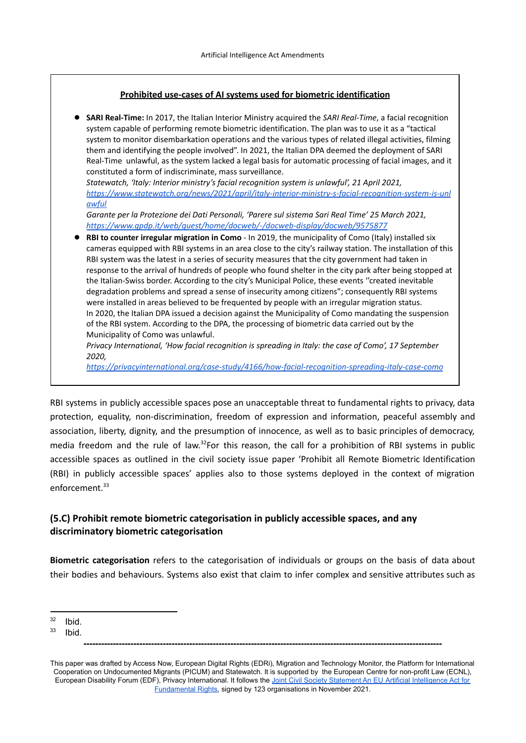#### **Prohibited use-cases of AI systems used for biometric identification**

● **SARI Real-Time:** In 2017, the Italian Interior Ministry acquired the *SARI Real-Time*, a facial recognition system capable of performing remote biometric identification. The plan was to use it as a "tactical system to monitor disembarkation operations and the various types of related illegal activities, filming them and identifying the people involved". In 2021, the Italian DPA deemed the deployment of SARI Real-Time unlawful, as the system lacked a legal basis for automatic processing of facial images, and it constituted a form of indiscriminate, mass surveillance.

*Statewatch, 'Italy: Interior ministry's facial recognition system is unlawful', 21 April 2021, [https://www.statewatch.org/news/2021/april/italy-interior-ministry-s-facial-recognition-system-is-unl](https://www.statewatch.org/news/2021/april/italy-interior-ministry-s-facial-recognition-system-is-unlawful) [awful](https://www.statewatch.org/news/2021/april/italy-interior-ministry-s-facial-recognition-system-is-unlawful)*

*Garante per la Protezione dei Dati Personali, 'Parere sul sistema Sari Real Time' 25 March 2021, <https://www.gpdp.it/web/guest/home/docweb/-/docweb-display/docweb/9575877>*

● **RBI to counter irregular migration in Como** - In 2019, the municipality of Como (Italy) installed six cameras equipped with RBI systems in an area close to the city's railway station. The installation of this RBI system was the latest in a series of security measures that the city government had taken in response to the arrival of hundreds of people who found shelter in the city park after being stopped at the Italian-Swiss border. According to the city's Municipal Police, these events ''created inevitable degradation problems and spread a sense of insecurity among citizens"; consequently RBI systems were installed in areas believed to be frequented by people with an irregular migration status. In 2020, the Italian DPA issued a decision against the Municipality of Como mandating the suspension of the RBI system. According to the DPA, the processing of biometric data carried out by the Municipality of Como was unlawful.

*Privacy International, 'How facial recognition is spreading in Italy: the case of Como', 17 September 2020,*

*<https://privacyinternational.org/case-study/4166/how-facial-recognition-spreading-italy-case-como>*

RBI systems in publicly accessible spaces pose an unacceptable threat to fundamental rights to privacy, data protection, equality, non-discrimination, freedom of expression and information, peaceful assembly and association, liberty, dignity, and the presumption of innocence, as well as to basic principles of democracy, media freedom and the rule of law.<sup>32</sup>For this reason, the call for a prohibition of RBI systems in public accessible spaces as outlined in the civil society issue paper 'Prohibit all Remote Biometric Identification (RBI) in publicly accessible spaces' applies also to those systems deployed in the context of migration enforcement. 33

### **(5.C) Prohibit remote biometric categorisation in publicly accessible spaces, and any discriminatory biometric categorisation**

**Biometric categorisation** refers to the categorisation of individuals or groups on the basis of data about their bodies and behaviours. Systems also exist that claim to infer complex and sensitive attributes such as

 $32$  Ibid.

 $33$  Ibid.

This paper was drafted by Access Now, European Digital Rights (EDRi), Migration and Technology Monitor, the Platform for International Cooperation on Undocumented Migrants (PICUM) and Statewatch. It is supported by the European Centre for non-profit Law (ECNL), European Disability Forum (EDF), Privacy International. It follows the Joint Civil Society Statement An EU Artificial [Intelligence](https://www.accessnow.org/cms/assets/uploads/2021/11/joint-statement-EU-AIA.pdf) Act for [Fundamental](https://www.accessnow.org/cms/assets/uploads/2021/11/joint-statement-EU-AIA.pdf) Rights, signed by 123 organisations in November 2021.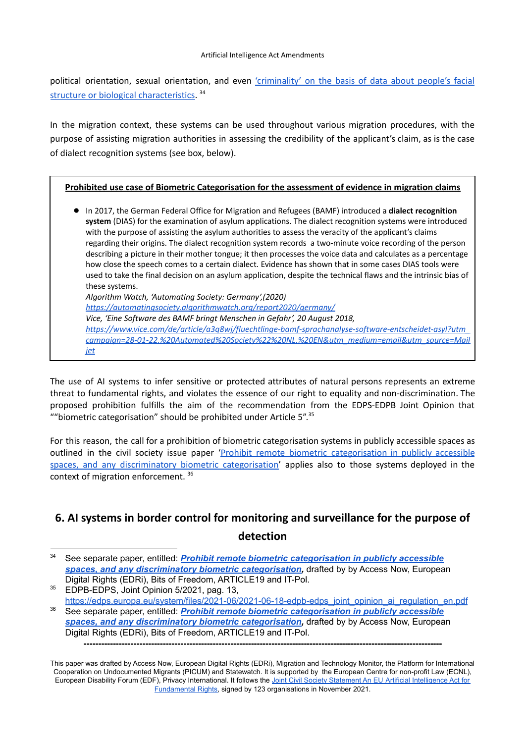political orientation, sexual orientation, and even ['criminality'](https://medium.com/@CoalitionForCriticalTechnology/abolish-the-techtoprisonpipeline-9b5b14366b16) on the basis of data about people's facial structure or biological [characteristics.](https://medium.com/@CoalitionForCriticalTechnology/abolish-the-techtoprisonpipeline-9b5b14366b16)<sup>34</sup>

In the migration context, these systems can be used throughout various migration procedures, with the purpose of assisting migration authorities in assessing the credibility of the applicant's claim, as is the case of dialect recognition systems (see box, below).

#### **Prohibited use case of Biometric Categorisation for the assessment of evidence in migration claims**

● In 2017, the German Federal Office for Migration and Refugees (BAMF) introduced a **dialect recognition system** (DIAS) for the examination of asylum applications. The dialect recognition systems were introduced with the purpose of assisting the asylum authorities to assess the veracity of the applicant's claims regarding their origins. The dialect recognition system records a two-minute voice recording of the person describing a picture in their mother tongue; it then processes the voice data and calculates as a percentage how close the speech comes to a certain dialect. Evidence has shown that in some cases DIAS tools were used to take the final decision on an asylum application, despite the technical flaws and the intrinsic bias of these systems. *Algorithm Watch, 'Automating Society: Germany',(2020) <https://automatingsociety.algorithmwatch.org/report2020/germany/> Vice, 'Eine Software des BAMF bringt Menschen in Gefahr', 20 August 2018, [https://www.vice.com/de/article/a3q8wj/fluechtlinge-bamf-sprachanalyse-software-entscheidet-asyl?utm\\_](http://../Drafts/Migration/EN&utm_medium=email&utm_source=Mailjet) [campaign=28-01-22,%20Automated%20Society%22%20NL,%20EN&utm\\_medium=email&utm\\_source=Mail](http://../Drafts/Migration/EN&utm_medium=email&utm_source=Mailjet) [jet](http://../Drafts/Migration/EN&utm_medium=email&utm_source=Mailjet)*

The use of AI systems to infer sensitive or protected attributes of natural persons represents an extreme threat to fundamental rights, and violates the essence of our right to equality and non-discrimination. The proposed prohibition fulfills the aim of the recommendation from the EDPS-EDPB Joint Opinion that ""biometric categorisation" should be prohibited under Article 5". $35$ 

For this reason, the call for a prohibition of biometric categorisation systems in publicly accessible spaces as outlined in the civil society issue paper 'Prohibit remote biometric [categorisation](https://www.accessnow.org/AIAct-biometric-categorisation) in publicly accessible spaces, and any [discriminatory](https://www.accessnow.org/AIAct-biometric-categorisation) biometric categorisation' applies also to those systems deployed in the context of migration enforcement. 36

# **6. AI systems in border control for monitoring and surveillance for the purpose of detection**

<sup>34</sup> See separate paper, entitled: *Prohibit remote biometric [categorisation](https://www.accessnow.org/AIAct-biometric-categorisation) in publicly accessible spaces, and any [discriminatory](https://www.accessnow.org/AIAct-biometric-categorisation) biometric categorisation,* drafted by by Access Now, European Digital Rights (EDRi), Bits of Freedom, ARTICLE19 and IT-Pol.

<sup>36</sup> See separate paper, entitled: *Prohibit remote biometric [categorisation](https://www.accessnow.org/AIAct-biometric-categorisation) in publicly accessible* <sup>35</sup> EDPB-EDPS, Joint Opinion 5/2021, pag. 13, [https://edps.europa.eu/system/files/2021-06/2021-06-18-edpb-edps\\_joint\\_opinion\\_ai\\_regulation\\_en.pdf](https://edps.europa.eu/system/files/2021-06/2021-06-18-edpb-edps_joint_opinion_ai_regulation_en.pdf)

*spaces, and any [discriminatory](https://www.accessnow.org/AIAct-biometric-categorisation) biometric categorisation,* drafted by by Access Now, European Digital Rights (EDRi), Bits of Freedom, ARTICLE19 and IT-Pol.

**<sup>--------------------------------------------------------------------------------------------------------------------------</sup>**

This paper was drafted by Access Now, European Digital Rights (EDRi), Migration and Technology Monitor, the Platform for International Cooperation on Undocumented Migrants (PICUM) and Statewatch. It is supported by the European Centre for non-profit Law (ECNL), European Disability Forum (EDF), Privacy International. It follows the Joint Civil Society Statement An EU Artificial [Intelligence](https://www.accessnow.org/cms/assets/uploads/2021/11/joint-statement-EU-AIA.pdf) Act for [Fundamental](https://www.accessnow.org/cms/assets/uploads/2021/11/joint-statement-EU-AIA.pdf) Rights, signed by 123 organisations in November 2021.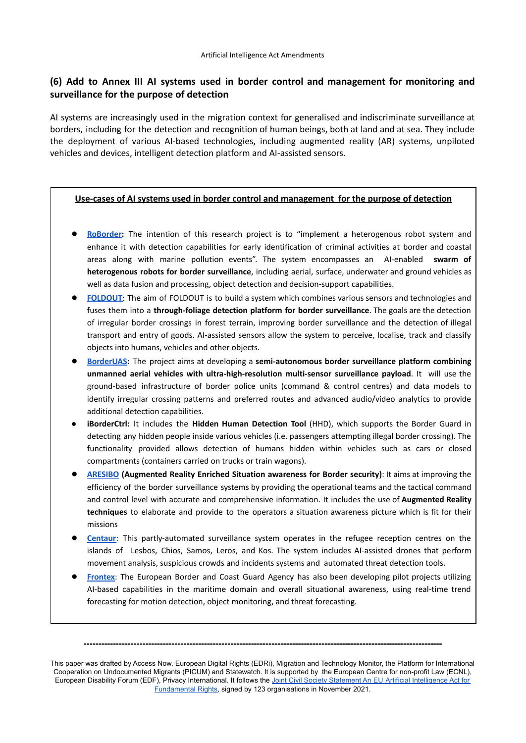### **(6) Add to Annex III AI systems used in border control and management for monitoring and surveillance for the purpose of detection**

AI systems are increasingly used in the migration context for generalised and indiscriminate surveillance at borders, including for the detection and recognition of human beings, both at land and at sea. They include the deployment of various AI-based technologies, including augmented reality (AR) systems, unpiloted vehicles and devices, intelligent detection platform and AI-assisted sensors.

#### **Use-cases of AI systems used in border control and management for the purpose of detection**

- **[RoBorder:](https://roborder.eu/)** The intention of this research project is to "implement a heterogenous robot system and enhance it with detection capabilities for early identification of criminal activities at border and coastal areas along with marine pollution events". The system encompasses an AI-enabled **swarm of heterogenous robots for border surveillance**, including aerial, surface, underwater and ground vehicles as well as data fusion and processing, object detection and decision-support capabilities.
- **[FOLDOUT](https://foldout.eu/)**: The aim of FOLDOUT is to build a system which combines various sensors and technologies and fuses them into a **through-foliage detection platform for border surveillance**. The goals are the detection of irregular border crossings in forest terrain, improving border surveillance and the detection of illegal transport and entry of goods. AI-assisted sensors allow the system to perceive, localise, track and classify objects into humans, vehicles and other objects.
- **[BorderUAS](https://borderuas.eu/):** The project aims at developing a **semi-autonomous border surveillance platform combining unmanned aerial vehicles with ultra-high-resolution multi-sensor surveillance payload**. It will use the ground-based infrastructure of border police units (command & control centres) and data models to identify irregular crossing patterns and preferred routes and advanced audio/video analytics to provide additional detection capabilities.
- **iBorderCtrl:** It includes the **Hidden Human Detection Tool** (HHD), which supports the Border Guard in detecting any hidden people inside various vehicles (i.e. passengers attempting illegal border crossing). The functionality provided allows detection of humans hidden within vehicles such as cars or closed compartments (containers carried on trucks or train wagons).
- **[ARESIBO](https://aresibo.eu/) (Augmented Reality Enriched Situation awareness for Border security)**: It aims at improving the efficiency of the border surveillance systems by providing the operational teams and the tactical command and control level with accurate and comprehensive information. It includes the use of **Augmented Reality techniques** to elaborate and provide to the operators a situation awareness picture which is fit for their missions
- **[Centaur](https://www.statewatch.org/analyses/2021/greece-the-new-hotspots-and-the-prevention-of-primary-flows-a-human-rights-disaster/):** This partly-automated surveillance system operates in the refugee reception centres on the islands of Lesbos, Chios, Samos, Leros, and Kos. The system includes AI-assisted drones that perform movement analysis, suspicious crowds and incidents systems and automated threat detection tools.
- **[Frontex](https://frontex.europa.eu/assets/Publications/Research/Frontex_AI_Research_Study_2020_final_report.pdf):** The European Border and Coast Guard Agency has also been developing pilot projects utilizing AI-based capabilities in the maritime domain and overall situational awareness, using real-time trend forecasting for motion detection, object monitoring, and threat forecasting.

This paper was drafted by Access Now, European Digital Rights (EDRi), Migration and Technology Monitor, the Platform for International Cooperation on Undocumented Migrants (PICUM) and Statewatch. It is supported by the European Centre for non-profit Law (ECNL),

European Disability Forum (EDF), Privacy International. It follows the Joint Civil Society Statement An EU Artificial [Intelligence](https://www.accessnow.org/cms/assets/uploads/2021/11/joint-statement-EU-AIA.pdf) Act for [Fundamental](https://www.accessnow.org/cms/assets/uploads/2021/11/joint-statement-EU-AIA.pdf) Rights, signed by 123 organisations in November 2021.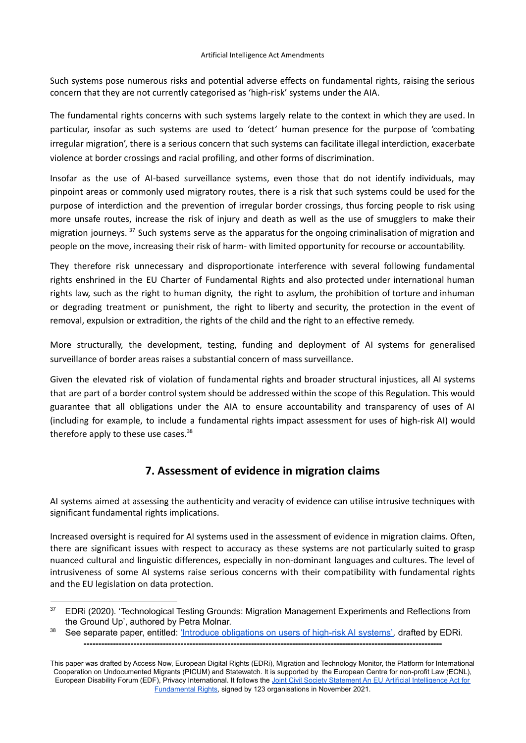Such systems pose numerous risks and potential adverse effects on fundamental rights, raising the serious concern that they are not currently categorised as 'high-risk' systems under the AIA.

The fundamental rights concerns with such systems largely relate to the context in which they are used. In particular, insofar as such systems are used to 'detect' human presence for the purpose of 'combating irregular migration', there is a serious concern that such systems can facilitate illegal interdiction, exacerbate violence at border crossings and racial profiling, and other forms of discrimination.

Insofar as the use of AI-based surveillance systems, even those that do not identify individuals, may pinpoint areas or commonly used migratory routes, there is a risk that such systems could be used for the purpose of interdiction and the prevention of irregular border crossings, thus forcing people to risk using more unsafe routes, increase the risk of injury and death as well as the use of smugglers to make their migration journeys. <sup>37</sup> Such systems serve as the apparatus for the ongoing criminalisation of migration and people on the move, increasing their risk of harm- with limited opportunity for recourse or accountability.

They therefore risk unnecessary and disproportionate interference with several following fundamental rights enshrined in the EU Charter of Fundamental Rights and also protected under international human rights law, such as the right to human dignity, the right to asylum, the prohibition of torture and inhuman or degrading treatment or punishment, the right to liberty and security, the protection in the event of removal, expulsion or extradition, the rights of the child and the right to an effective remedy.

More structurally, the development, testing, funding and deployment of AI systems for generalised surveillance of border areas raises a substantial concern of mass surveillance.

Given the elevated risk of violation of fundamental rights and broader structural injustices, all AI systems that are part of a border control system should be addressed within the scope of this Regulation. This would guarantee that all obligations under the AIA to ensure accountability and transparency of uses of AI (including for example, to include a fundamental rights impact assessment for uses of high-risk AI) would therefore apply to these use cases.<sup>38</sup>

# **7. Assessment of evidence in migration claims**

AI systems aimed at assessing the authenticity and veracity of evidence can utilise intrusive techniques with significant fundamental rights implications.

Increased oversight is required for AI systems used in the assessment of evidence in migration claims. Often, there are significant issues with respect to accuracy as these systems are not particularly suited to grasp nuanced cultural and linguistic differences, especially in non-dominant languages and cultures. The level of intrusiveness of some AI systems raise serious concerns with their compatibility with fundamental rights and the EU legislation on data protection.

<sup>&</sup>lt;sup>37</sup> EDRi (2020). 'Technological Testing Grounds: Migration Management Experiments and Reflections from the Ground Up', authored by Petra Molnar.

<sup>38</sup> See separate paper, entitled: 'Introduce [obligations](https://edri.org/our-work/the-eus-artificial-intelligence-act-civil-society-amendments/) on users of high-risk AI systems'*,* drafted by EDRi. **--------------------------------------------------------------------------------------------------------------------------**

This paper was drafted by Access Now, European Digital Rights (EDRi), Migration and Technology Monitor, the Platform for International Cooperation on Undocumented Migrants (PICUM) and Statewatch. It is supported by the European Centre for non-profit Law (ECNL), European Disability Forum (EDF), Privacy International. It follows the Joint Civil Society Statement An EU Artificial [Intelligence](https://www.accessnow.org/cms/assets/uploads/2021/11/joint-statement-EU-AIA.pdf) Act for [Fundamental](https://www.accessnow.org/cms/assets/uploads/2021/11/joint-statement-EU-AIA.pdf) Rights, signed by 123 organisations in November 2021.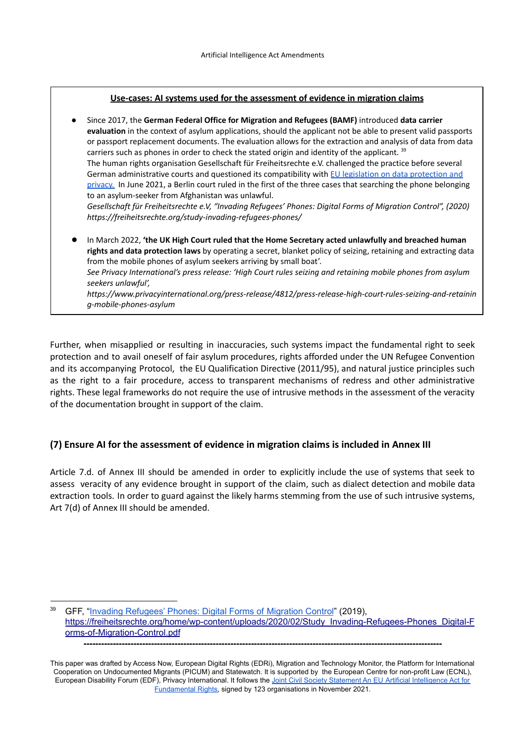#### **Use-cases: AI systems used for the assessment of evidence in migration claims**

● Since 2017, the **German Federal Office for Migration and Refugees (BAMF)** introduced **data carrier evaluation** in the context of asylum applications, should the applicant not be able to present valid passports or passport replacement documents. The evaluation allows for the extraction and analysis of data from data carriers such as phones in order to check the stated origin and identity of the applicant.  $^{39}$ The human rights organisation Gesellschaft für Freiheitsrechte e.V. challenged the practice before several German administrative courts and questioned its compatibility with EU legislation on data [protection](https://freiheitsrechte.org/refugee-data/) and [privacy.](https://freiheitsrechte.org/refugee-data/) In June 2021, a Berlin court ruled in the first of the three cases that searching the phone belonging to an asylum-seeker from Afghanistan was unlawful. *Gesellschaft für Freiheitsrechte e.V, "Invading Refugees' Phones: Digital Forms of Migration Control", (2020) https://freiheitsrechte.org/study-invading-refugees-phones/* ● In March 2022, **'the UK High Court ruled that the Home Secretary acted unlawfully and breached human rights and data protection laws** by operating a secret, blanket policy of seizing, retaining and extracting data from the mobile phones of asylum seekers arriving by small boat'. *See Privacy International's press release: 'High Court rules seizing and retaining mobile phones from asylum seekers unlawful', https://www.privacyinternational.org/press-release/4812/press-release-high-court-rules-seizing-and-retainin g-mobile-phones-asylum*

Further, when misapplied or resulting in inaccuracies, such systems impact the fundamental right to seek protection and to avail oneself of fair asylum procedures, rights afforded under the UN Refugee Convention and its accompanying Protocol, the EU Qualification Directive (2011/95), and natural justice principles such as the right to a fair procedure, access to transparent mechanisms of redress and other administrative rights. These legal frameworks do not require the use of intrusive methods in the assessment of the veracity of the documentation brought in support of the claim.

### **(7) Ensure AI for the assessment of evidence in migration claims is included in Annex III**

Article 7.d. of Annex III should be amended in order to explicitly include the use of systems that seek to assess veracity of any evidence brought in support of the claim, such as dialect detection and mobile data extraction tools. In order to guard against the likely harms stemming from the use of such intrusive systems, Art 7(d) of Annex III should be amended.

<sup>&</sup>lt;sup>39</sup> GFF, "Invading Refugees' Phones: Digital Forms of Migration Control" (2019), [https://freiheitsrechte.org/home/wp-content/uploads/2020/02/Study\\_Invading-Refugees-Phones\\_Digital-F](https://freiheitsrechte.org/home/wp-content/uploads/2020/02/Study_Invading-Refugees-Phones_Digital-Forms-of-Migration-Control.pdf) [orms-of-Migration-Control.pdf](https://freiheitsrechte.org/home/wp-content/uploads/2020/02/Study_Invading-Refugees-Phones_Digital-Forms-of-Migration-Control.pdf) **--------------------------------------------------------------------------------------------------------------------------**

This paper was drafted by Access Now, European Digital Rights (EDRi), Migration and Technology Monitor, the Platform for International Cooperation on Undocumented Migrants (PICUM) and Statewatch. It is supported by the European Centre for non-profit Law (ECNL), European Disability Forum (EDF), Privacy International. It follows the Joint Civil Society Statement An EU Artificial [Intelligence](https://www.accessnow.org/cms/assets/uploads/2021/11/joint-statement-EU-AIA.pdf) Act for [Fundamental](https://www.accessnow.org/cms/assets/uploads/2021/11/joint-statement-EU-AIA.pdf) Rights, signed by 123 organisations in November 2021.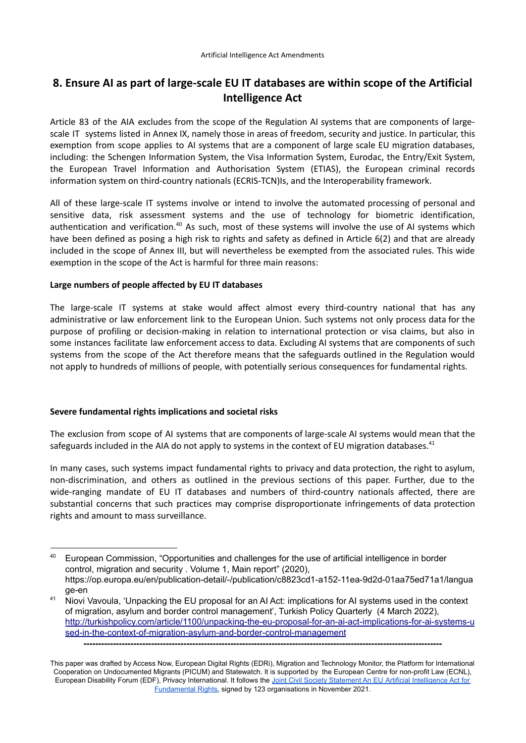# **8. Ensure AI as part of large-scale EU IT databases are within scope of the Artificial Intelligence Act**

Article 83 of the AIA excludes from the scope of the Regulation AI systems that are components of largescale IT systems listed in Annex IX, namely those in areas of freedom, security and justice. In particular, this exemption from scope applies to AI systems that are a component of large scale EU migration databases, including: the Schengen Information System, the Visa Information System, Eurodac, the Entry/Exit System, the European Travel Information and Authorisation System (ETIAS), the European criminal records information system on third-country nationals (ECRIS-TCN)Is, and the Interoperability framework.

All of these large-scale IT systems involve or intend to involve the automated processing of personal and sensitive data, risk assessment systems and the use of technology for biometric identification, authentication and verification.<sup>40</sup> As such, most of these systems will involve the use of AI systems which have been defined as posing a high risk to rights and safety as defined in Article 6(2) and that are already included in the scope of Annex III, but will nevertheless be exempted from the associated rules. This wide exemption in the scope of the Act is harmful for three main reasons:

#### **Large numbers of people affected by EU IT databases**

The large-scale IT systems at stake would affect almost every third-country national that has any administrative or law enforcement link to the European Union. Such systems not only process data for the purpose of profiling or decision-making in relation to international protection or visa claims, but also in some instances facilitate law enforcement access to data. Excluding AI systems that are components of such systems from the scope of the Act therefore means that the safeguards outlined in the Regulation would not apply to hundreds of millions of people, with potentially serious consequences for fundamental rights.

#### **Severe fundamental rights implications and societal risks**

The exclusion from scope of AI systems that are components of large-scale AI systems would mean that the safeguards included in the AIA do not apply to systems in the context of EU migration databases.<sup>41</sup>

In many cases, such systems impact fundamental rights to privacy and data protection, the right to asylum, non-discrimination, and others as outlined in the previous sections of this paper. Further, due to the wide-ranging mandate of EU IT databases and numbers of third-country nationals affected, there are substantial concerns that such practices may comprise disproportionate infringements of data protection rights and amount to mass surveillance.

<sup>&</sup>lt;sup>40</sup> European Commission, "Opportunities and challenges for the use of artificial intelligence in border control, migration and security . Volume 1, Main report" (2020), https://op.europa.eu/en/publication-detail/-/publication/c8823cd1-a152-11ea-9d2d-01aa75ed71a1/langua ge-en

<sup>&</sup>lt;sup>41</sup> Niovi Vavoula, 'Unpacking the EU proposal for an AI Act: implications for AI systems used in the context of migration, asylum and border control management', Turkish Policy Quarterly (4 March 2022), [http://turkishpolicy.com/article/1100/unpacking-the-eu-proposal-for-an-ai-act-implications-for-ai-systems-u](http://turkishpolicy.com/article/1100/unpacking-the-eu-proposal-for-an-ai-act-implications-for-ai-systems-used-in-the-context-of-migration-asylum-and-border-control-management) [sed-in-the-context-of-migration-asylum-and-border-control-management](http://turkishpolicy.com/article/1100/unpacking-the-eu-proposal-for-an-ai-act-implications-for-ai-systems-used-in-the-context-of-migration-asylum-and-border-control-management)

This paper was drafted by Access Now, European Digital Rights (EDRi), Migration and Technology Monitor, the Platform for International Cooperation on Undocumented Migrants (PICUM) and Statewatch. It is supported by the European Centre for non-profit Law (ECNL), European Disability Forum (EDF), Privacy International. It follows the Joint Civil Society Statement An EU Artificial [Intelligence](https://www.accessnow.org/cms/assets/uploads/2021/11/joint-statement-EU-AIA.pdf) Act for [Fundamental](https://www.accessnow.org/cms/assets/uploads/2021/11/joint-statement-EU-AIA.pdf) Rights, signed by 123 organisations in November 2021.